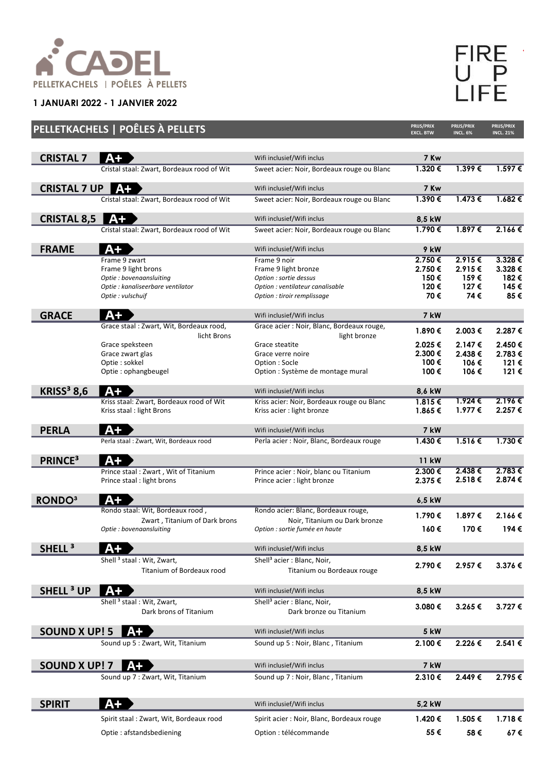

**1 JANUARI 2022 - 1 JANVIER 2022**

| L |
|---|
|   |
|   |

|                              | PELLETKACHELS   POÊLES À PELLETS           |                                            | PRIJS/PRIX<br><b>EXCL. BTW</b> | PRIJS/PRIX<br><b>INCL. 6%</b> | PRIJS/PRIX<br><b>INCL. 21%</b> |
|------------------------------|--------------------------------------------|--------------------------------------------|--------------------------------|-------------------------------|--------------------------------|
|                              |                                            |                                            |                                |                               |                                |
| <b>CRISTAL 7</b>             | $A+$                                       | Wifi inclusief/Wifi inclus                 | 7 Kw                           |                               |                                |
|                              | Cristal staal: Zwart, Bordeaux rood of Wit | Sweet acier: Noir, Bordeaux rouge ou Blanc | 1.320€                         | 1.399€                        | $1.597 \in$                    |
| <b>CRISTAL 7 UP</b>          | $A+$                                       | Wifi inclusief/Wifi inclus                 | 7 Kw                           |                               |                                |
|                              | Cristal staal: Zwart, Bordeaux rood of Wit | Sweet acier: Noir, Bordeaux rouge ou Blanc | 1.390€                         | 1.473 €                       | 1.682€                         |
| <b>CRISTAL 8,5</b>           | $A+$                                       | Wifi inclusief/Wifi inclus                 | 8,5 kW                         |                               |                                |
|                              | Cristal staal: Zwart, Bordeaux rood of Wit | Sweet acier: Noir, Bordeaux rouge ou Blanc | 1.790€                         | 1.897€                        | 2.166€                         |
|                              |                                            |                                            |                                |                               |                                |
| <b>FRAME</b>                 | A+                                         | Wifi inclusief/Wifi inclus                 | 9 kW                           |                               |                                |
|                              | Frame 9 zwart<br>Frame 9 light brons       | Frame 9 noir<br>Frame 9 light bronze       | 2.750€<br>2.750€               | 2.915€<br>2.915€              | $3.328 \in$<br>3.328€          |
|                              | Optie : bovenaansluiting                   | Option : sortie dessus                     | 150€                           | 159€                          | 182€                           |
|                              | Optie : kanaliseerbare ventilator          | Option : ventilateur canalisable           | 120€                           | 127€                          | 145€                           |
|                              | Optie : vulschuif                          | Option : tiroir remplissage                | 70€                            | 74€                           | 85€                            |
| <b>GRACE</b>                 | $A+$                                       | Wifi inclusief/Wifi inclus                 | 7 kW                           |                               |                                |
|                              | Grace staal: Zwart, Wit, Bordeaux rood,    | Grace acier : Noir, Blanc, Bordeaux rouge, | 1.890€                         | 2.003€                        | 2.287€                         |
|                              | licht Brons                                | light bronze                               |                                |                               |                                |
|                              | Grace speksteen                            | Grace steatite                             | 2.025 €                        | 2.147€                        | 2.450€                         |
|                              | Grace zwart glas                           | Grace verre noire                          | 2.300€                         | 2.438€                        | 2.783€                         |
|                              | Optie: sokkel                              | Option: Socle                              | 100€                           | 106€                          | 121 €                          |
|                              | Optie: ophangbeugel                        | Option : Système de montage mural          | 100€                           | 106€                          | 121 €                          |
| <b>KRISS<sup>3</sup> 8,6</b> | $A+$                                       | Wifi inclusief/Wifi inclus                 | 8,6 kW                         |                               |                                |
|                              | Kriss staal: Zwart, Bordeaux rood of Wit   | Kriss acier: Noir, Bordeaux rouge ou Blanc | $1.815 \in$                    | 1.924 €                       | 2.196€                         |
|                              | Kriss staal: light Brons                   | Kriss acier : light bronze                 | 1.865€                         | 1.977 €                       | 2.257€                         |
| <b>PERLA</b>                 | A+                                         | Wifi inclusief/Wifi inclus                 | 7 kW                           |                               |                                |
|                              | Perla staal: Zwart, Wit, Bordeaux rood     | Perla acier : Noir, Blanc, Bordeaux rouge  | $1.430 \in$                    | 1.516€                        | 1.730€                         |
| <b>PRINCE<sup>3</sup></b>    | $A+$                                       |                                            | <b>11 kW</b>                   |                               |                                |
|                              | Prince staal: Zwart, Wit of Titanium       | Prince acier : Noir, blanc ou Titanium     | 2.300 €                        | 2.438€                        | $2.783 \in$                    |
|                              | Prince staal : light brons                 | Prince acier : light bronze                | 2.375€                         | 2.518€                        | 2.874€                         |
| <b>RONDO3</b>                | $A+$                                       |                                            | 6,5 kW                         |                               |                                |
|                              | Rondo staal: Wit, Bordeaux rood,           | Rondo acier: Blanc, Bordeaux rouge,        | 1.790€                         | 1.897 €                       | 2.166€                         |
|                              | Zwart, Titanium of Dark brons              | Noir, Titanium ou Dark bronze              |                                |                               |                                |
|                              | Optie : bovenaansluiting                   | Option : sortie fumée en haute             | 160€                           | 170€                          | 194€                           |
| SHELL <sup>3</sup>           |                                            | Wifi inclusief/Wifi inclus                 | 8,5 kW                         |                               |                                |
|                              | Shell <sup>3</sup> staal: Wit, Zwart,      | Shell <sup>3</sup> acier: Blanc, Noir,     | 2.790€                         | 2.957€                        | 3.376€                         |
|                              | Titanium of Bordeaux rood                  | Titanium ou Bordeaux rouge                 |                                |                               |                                |
| <b>SHELL<sup>3</sup> UP</b>  | $A+$                                       | Wifi inclusief/Wifi inclus                 | 8,5 kW                         |                               |                                |
|                              | Shell <sup>3</sup> staal: Wit, Zwart,      | Shell <sup>3</sup> acier : Blanc, Noir,    |                                |                               |                                |
|                              | Dark brons of Titanium                     | Dark bronze ou Titanium                    | 3.080€                         | 3.265€                        | 3.727 €                        |
|                              | ΑŦ                                         | Wifi inclusief/Wifi inclus                 | <b>5 kW</b>                    |                               |                                |
| <b>SOUND X UP! 5</b>         | Sound up 5 : Zwart, Wit, Titanium          | Sound up 5 : Noir, Blanc, Titanium         | 2.100 €                        | 2.226€                        | 2.541 €                        |
|                              |                                            |                                            |                                |                               |                                |
| <b>SOUND X UP! 7</b>         | Aт                                         | Wifi inclusief/Wifi inclus                 | 7 kW                           |                               |                                |
|                              | Sound up 7 : Zwart, Wit, Titanium          | Sound up 7 : Noir, Blanc, Titanium         | 2.310€                         | 2.449€                        | 2.795€                         |
|                              |                                            |                                            |                                |                               |                                |
| <b>SPIRIT</b>                | A+                                         | Wifi inclusief/Wifi inclus                 | 5,2 kW                         |                               |                                |
|                              | Spirit staal: Zwart, Wit, Bordeaux rood    | Spirit acier : Noir, Blanc, Bordeaux rouge | 1.420€                         | 1.505 €                       | 1.718€                         |
|                              | Optie: afstandsbediening                   | Option : télécommande                      | 55€                            | 58€                           | 67€                            |